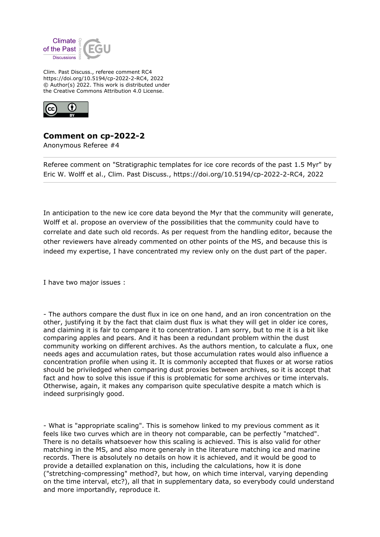

Clim. Past Discuss., referee comment RC4 https://doi.org/10.5194/cp-2022-2-RC4, 2022 © Author(s) 2022. This work is distributed under the Creative Commons Attribution 4.0 License.



## **Comment on cp-2022-2**

Anonymous Referee #4

Referee comment on "Stratigraphic templates for ice core records of the past 1.5 Myr" by Eric W. Wolff et al., Clim. Past Discuss., https://doi.org/10.5194/cp-2022-2-RC4, 2022

In anticipation to the new ice core data beyond the Myr that the community will generate, Wolff et al. propose an overview of the possibilities that the community could have to correlate and date such old records. As per request from the handling editor, because the other reviewers have already commented on other points of the MS, and because this is indeed my expertise, I have concentrated my review only on the dust part of the paper.

I have two major issues :

- The authors compare the dust flux in ice on one hand, and an iron concentration on the other, justifying it by the fact that claim dust flux is what they will get in older ice cores, and claiming it is fair to compare it to concentration. I am sorry, but to me it is a bit like comparing apples and pears. And it has been a redundant problem within the dust community working on different archives. As the authors mention, to calculate a flux, one needs ages and accumulation rates, but those accumulation rates would also influence a concentration profile when using it. It is commonly accepted that fluxes or at worse ratios should be priviledged when comparing dust proxies between archives, so it is accept that fact and how to solve this issue if this is problematic for some archives or time intervals. Otherwise, again, it makes any comparison quite speculative despite a match which is indeed surprisingly good.

- What is "appropriate scaling". This is somehow linked to my previous comment as it feels like two curves which are in theory not comparable, can be perfectly "matched". There is no details whatsoever how this scaling is achieved. This is also valid for other matching in the MS, and also more generaly in the literature matching ice and marine records. There is absolutely no details on how it is achieved, and it would be good to provide a detailled explanation on this, including the calculations, how it is done ("stretching-compressing" method?, but how, on which time interval, varying depending on the time interval, etc?), all that in supplementary data, so everybody could understand and more importandly, reproduce it.